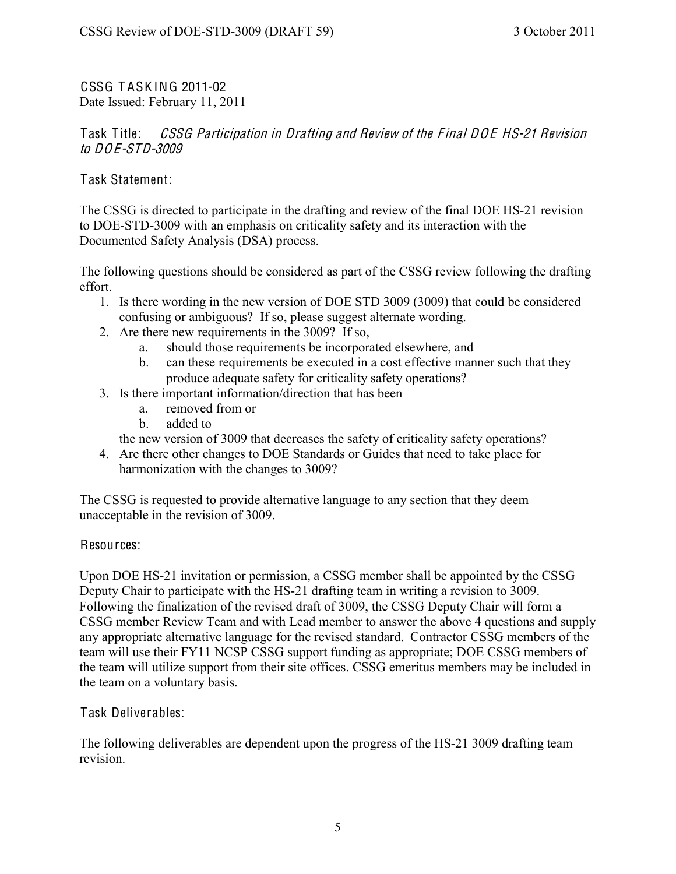CSSG T ASK ING 2011-02 Date Issued: February 11, 2011

Task Title: *CSSG Participation in Drafting and Review of the Final DOE HS-21 Revision* to DOE-STD-3009

Task Statement:

The CSSG is directed to participate in the drafting and review of the final DOE HS-21 revision to DOE-STD-3009 with an emphasis on criticality safety and its interaction with the Documented Safety Analysis (DSA) process.

The following questions should be considered as part of the CSSG review following the drafting effort.

- 1. Is there wording in the new version of DOE STD 3009 (3009) that could be considered confusing or ambiguous? If so, please suggest alternate wording.
- 2. Are there new requirements in the 3009? If so,
	- a. should those requirements be incorporated elsewhere, and
	- b. can these requirements be executed in a cost effective manner such that they produce adequate safety for criticality safety operations?
- 3. Is there important information/direction that has been
	- a. removed from or
	- b. added to

the new version of 3009 that decreases the safety of criticality safety operations?

4. Are there other changes to DOE Standards or Guides that need to take place for harmonization with the changes to 3009?

The CSSG is requested to provide alternative language to any section that they deem unacceptable in the revision of 3009.

## Resources:

Upon DOE HS-21 invitation or permission, a CSSG member shall be appointed by the CSSG Deputy Chair to participate with the HS-21 drafting team in writing a revision to 3009. Following the finalization of the revised draft of 3009, the CSSG Deputy Chair will form a CSSG member Review Team and with Lead member to answer the above 4 questions and supply any appropriate alternative language for the revised standard. Contractor CSSG members of the team will use their FY11 NCSP CSSG support funding as appropriate; DOE CSSG members of the team will utilize support from their site offices. CSSG emeritus members may be included in the team on a voluntary basis.

Task Deliverables:

The following deliverables are dependent upon the progress of the HS-21 3009 drafting team revision.